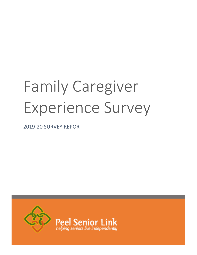# Family Caregiver Experience Survey

2019-20 SURVEY REPORT

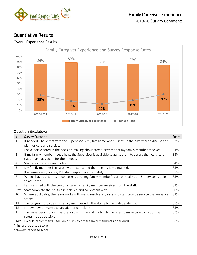

## Quantiative Results

## Overall Experience Results



## Question Breakdown

| #              | <b>Survey Question</b>                                                                                | Score |
|----------------|-------------------------------------------------------------------------------------------------------|-------|
| 1              | If needed, I have met with the Supervisor & my family member (Client) in the past year to discuss and | 83%   |
|                | plan for care and service.                                                                            |       |
| $\overline{2}$ | I have participated in the decision-making about care & service that my family member receives.       | 84%   |
| 3              | If my family member needs help, the Supervisor is available to assist them to access the healthcare   | 83%   |
|                | system and advocate for their needs.                                                                  |       |
| 4              | Staff are courteous and polite.                                                                       | 84%   |
| 5              | My family member is treated with respect and their dignity is maintained.                             | 85%   |
| 6              | If an emergency occurs, PSL staff respond appropriately.                                              | 87%   |
| 7              | When I have questions or concerns about my family member's care or health, the Supervisor is able     | 85%   |
|                | to assist me.                                                                                         |       |
| 8              | I am satisfied with the personal care my family member receives from the staff.                       | 83%   |
| $9**$          | Staff complete their duties in a skilled and competent way.                                           | 80%   |
| 10             | Where applicable, the team works with me to resolve any risks and staff provide service that enhance  | 82%   |
|                | safety.                                                                                               |       |
| 11             | The program provides my family member with the ability to live independently.                         | 87%   |
| 12             | I know how to make a suggestion or complaint.                                                         | 85%   |
| 13             | The Supervisor works in partnership with me and my family member to make care transitions as          | 83%   |
|                | stress free as possible.                                                                              |       |
| $14*$          | I would recommend Peel Senior Link to other family members and friends.                               | 88%   |

\*highest reported score

\*\*lowest reported score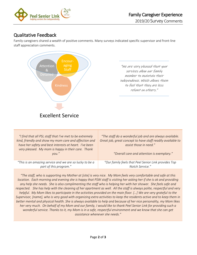

# Qualitative Feedback

Family caregivers shared a wealth of positive comments. Many surveys indicated specific supervisor and front-line staff appreciation comments.



"We are very pleased that your services allow our family member to maintain their independence. Which allows them to feel that they are less reliant on others."

| "I find that all PSL staff that I've met to be extremely<br>kind, friendly and show my mom care and affection and<br>have her safety and best interests at heart. I've been<br>very pleased. My mom is happy in their care. Thank<br>vou.'' | "The staff do a wonderful job and are always available.<br>Great job, great concept to have staff readily available to<br>assist those in need."<br>"Overall care and attention is exemplary." |
|---------------------------------------------------------------------------------------------------------------------------------------------------------------------------------------------------------------------------------------------|------------------------------------------------------------------------------------------------------------------------------------------------------------------------------------------------|
| "This is an amazing service and we are so lucky to be a                                                                                                                                                                                     | "Our family feels that Peel Senior Link provides Top                                                                                                                                           |
| part of this program."                                                                                                                                                                                                                      | Notch Service."                                                                                                                                                                                |

*"The staff, who is supporting my Mother at [site] is very nice. My Mom feels very comfortable and safe at this location. Each morning and evening she is happy that PSW staff is visiting her asking her if she is ok and providing any help she needs. She is also complimenting the staff who is helping her with her shower. She feels safe and respected. She has help with the cleaning of her apartment as well. All the staff is always polite, respectful and very helpful. My Mom likes to participate in the activities provided on the main floor. […] We are very grateful to the Supervisor, [name], who is very good with organizing extra activities to keep the residents active and to keep them in better mental and physical health. She is always available to help and because of her nice personality, my Mom likes her very much. On behalf of my Mom and our family, I would like to thank Peel Senior Link for providing such a wonderful service. Thanks to it, my Mom is in a safe, respectful environment and we know that she can get assistance whenever she needs."*